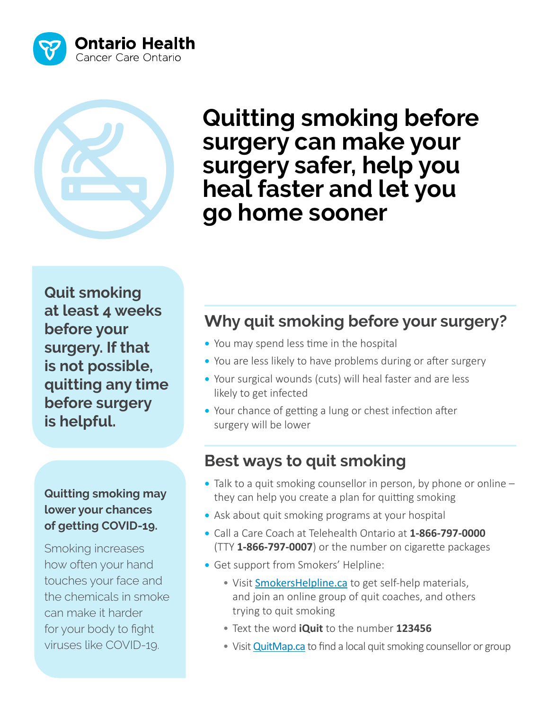



 **go home sooner Quitting smoking before surgery can make your surgery safer, help you heal faster and let you** 

**Quit smoking at least 4 weeks before your surgery. If that is not possible, quitting any time before surgery is helpful.**

#### **Quitting smoking may lower your chances of getting COVID-19.**

Smoking increases how often your hand touches your face and the chemicals in smoke can make it harder for your body to fight viruses like COVID-19.

### **Why quit smoking before your surgery?**

- You may spend less time in the hospital
- You are less likely to have problems during or after surgery
- Your surgical wounds (cuts) will heal faster and are less likely to get infected
- Your chance of getting a lung or chest infection after surgery will be lower

#### **Best ways to quit smoking**

- Talk to a quit smoking counsellor in person, by phone or online they can help you create a plan for quitting smoking
- Ask about quit smoking programs at your hospital
- Call a Care Coach at Telehealth Ontario at **1-866-797-0000** (TTY **1-866-797-0007**) or the number on cigarette packages
- Get support from Smokers' Helpline:
	- Visit [SmokersHelpline.ca](http://SmokersHelpline.ca) to get self-help materials, and join an online group of quit coaches, and others trying to quit smoking
	- Text the word **iQuit** to the number **123456**
	- Visit **[QuitMap.ca](http://QuitMap.ca)** to find a local quit smoking counsellor or group